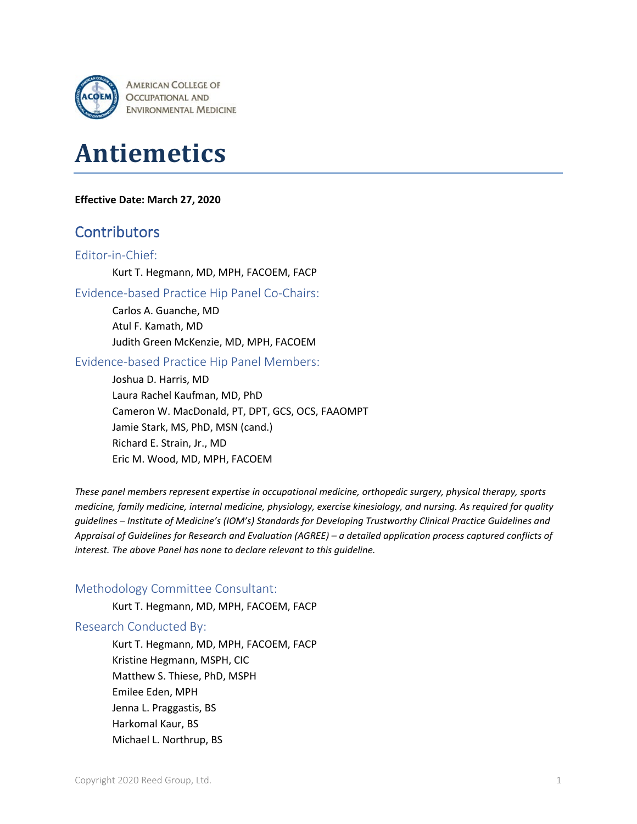

# **Antiemetics**

#### **Effective Date: March 27, 2020**

# **Contributors**

#### Editor-in-Chief:

Kurt T. Hegmann, MD, MPH, FACOEM, FACP

#### Evidence-based Practice Hip Panel Co-Chairs:

Carlos A. Guanche, MD Atul F. Kamath, MD Judith Green McKenzie, MD, MPH, FACOEM

#### Evidence-based Practice Hip Panel Members:

Joshua D. Harris, MD Laura Rachel Kaufman, MD, PhD Cameron W. MacDonald, PT, DPT, GCS, OCS, FAAOMPT Jamie Stark, MS, PhD, MSN (cand.) Richard E. Strain, Jr., MD Eric M. Wood, MD, MPH, FACOEM

*These panel members represent expertise in occupational medicine, orthopedic surgery, physical therapy, sports medicine, family medicine, internal medicine, physiology, exercise kinesiology, and nursing. As required for quality guidelines – Institute of Medicine's (IOM's) Standards for Developing Trustworthy Clinical Practice Guidelines and Appraisal of Guidelines for Research and Evaluation (AGREE) – a detailed application process captured conflicts of interest. The above Panel has none to declare relevant to this guideline.*

#### Methodology Committee Consultant:

Kurt T. Hegmann, MD, MPH, FACOEM, FACP

#### Research Conducted By:

Kurt T. Hegmann, MD, MPH, FACOEM, FACP Kristine Hegmann, MSPH, CIC Matthew S. Thiese, PhD, MSPH Emilee Eden, MPH Jenna L. Praggastis, BS Harkomal Kaur, BS Michael L. Northrup, BS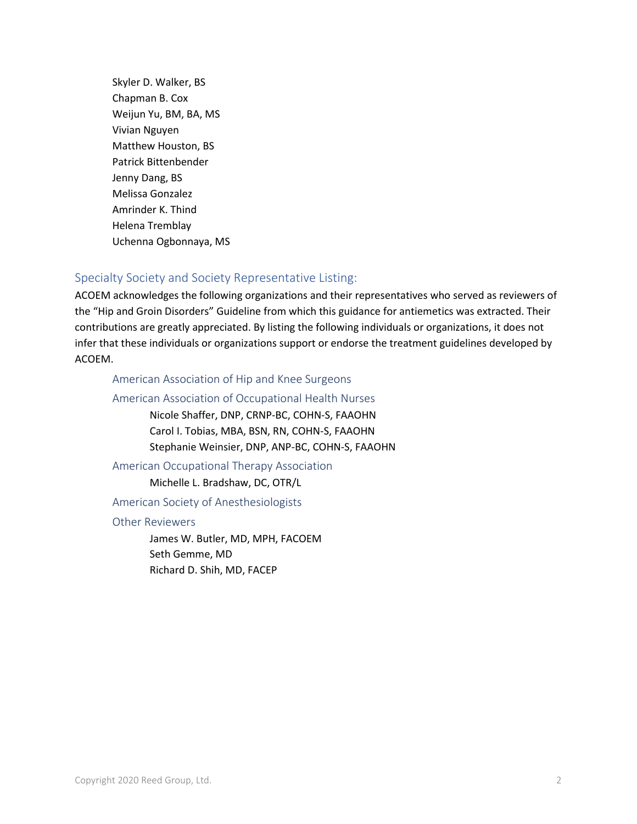Skyler D. Walker, BS Chapman B. Cox Weijun Yu, BM, BA, MS Vivian Nguyen Matthew Houston, BS Patrick Bittenbender Jenny Dang, BS Melissa Gonzalez Amrinder K. Thind Helena Tremblay Uchenna Ogbonnaya, MS

# Specialty Society and Society Representative Listing:

ACOEM acknowledges the following organizations and their representatives who served as reviewers of the "Hip and Groin Disorders" Guideline from which this guidance for antiemetics was extracted. Their contributions are greatly appreciated. By listing the following individuals or organizations, it does not infer that these individuals or organizations support or endorse the treatment guidelines developed by ACOEM.

### American Association of Hip and Knee Surgeons

#### American Association of Occupational Health Nurses

Nicole Shaffer, DNP, CRNP-BC, COHN-S, FAAOHN Carol I. Tobias, MBA, BSN, RN, COHN-S, FAAOHN Stephanie Weinsier, DNP, ANP-BC, COHN-S, FAAOHN

#### American Occupational Therapy Association

Michelle L. Bradshaw, DC, OTR/L

#### American Society of Anesthesiologists

#### Other Reviewers

James W. Butler, MD, MPH, FACOEM Seth Gemme, MD Richard D. Shih, MD, FACEP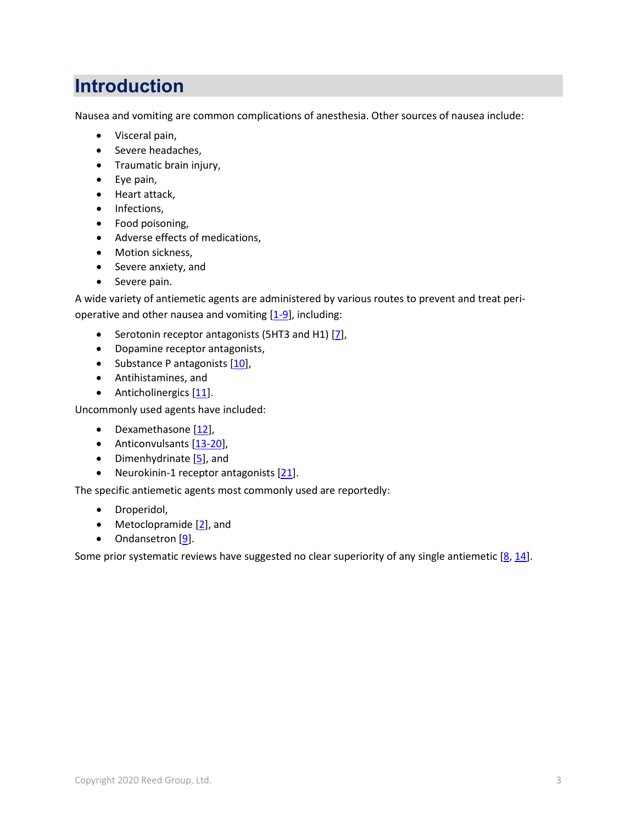# **Introduction**

Nausea and vomiting are common complications of anesthesia. Other sources of nausea include:

- Visceral pain,
- Severe headaches,
- Traumatic brain injury,
- Eye pain,
- Heart attack,
- Infections,
- Food poisoning,
- Adverse effects of medications,
- Motion sickness,
- Severe anxiety, and
- Severe pain.

A wide variety of antiemetic agents are administered by various routes to prevent and treat perioperative and other nausea and vomiting  $[1-9]$ , including:

- Serotonin receptor antagonists (5HT3 and H1) [\[7\]](#page-8-1),
- Dopamine receptor antagonists,
- Substance P antagonists [\[10\]](#page-8-2),
- Antihistamines, and
- Anticholinergics [\[11\]](#page-8-3).

Uncommonly used agents have included:

- Dexamethasone [\[12\]](#page-9-0),
- Anticonvulsants [\[13-20\]](#page-9-1),
- Dimenhydrinate [\[5\]](#page-8-4), and
- Neurokinin-1 receptor antagonists [\[21\]](#page-9-2).

The specific antiemetic agents most commonly used are reportedly:

- Droperidol,
- Metoclopramide [\[2\]](#page-8-5), and
- Ondansetron [\[9\]](#page-8-6).

Some prior systematic reviews have suggested no clear superiority of any single antiemetic [\[8,](#page-8-7) [14\]](#page-9-3).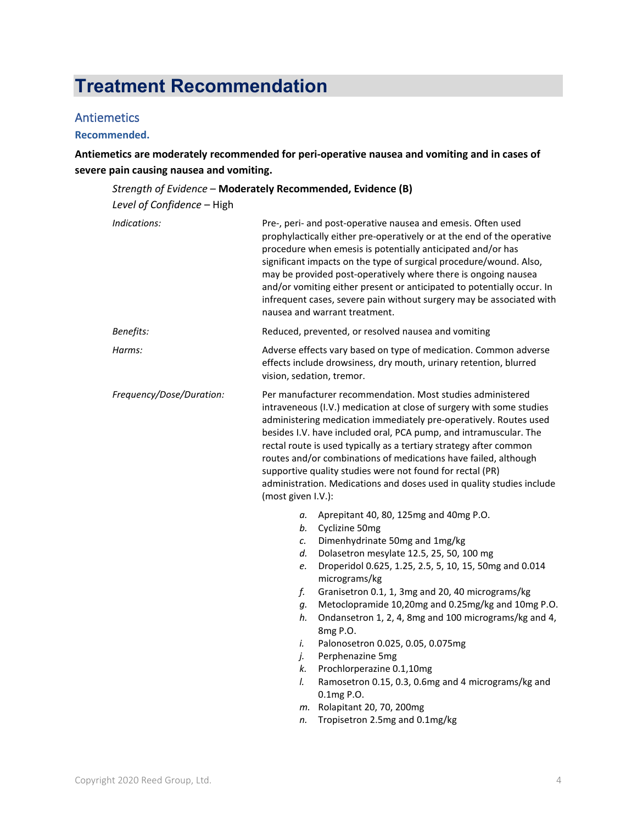# **Treatment Recommendation**

### Antiemetics

#### **Recommended.**

**Antiemetics are moderately recommended for peri-operative nausea and vomiting and in cases of severe pain causing nausea and vomiting.**

#### *Strength of Evidence* – **Moderately Recommended, Evidence (B)** *Level of Confidence* – High *Indications:* Pre-, peri- and post-operative nausea and emesis. Often used prophylactically either pre-operatively or at the end of the operative procedure when emesis is potentially anticipated and/or has significant impacts on the type of surgical procedure/wound. Also, may be provided post-operatively where there is ongoing nausea and/or vomiting either present or anticipated to potentially occur. In infrequent cases, severe pain without surgery may be associated with nausea and warrant treatment. *Benefits:* **Reduced, prevented, or resolved nausea and vomiting** *Harms:* Adverse effects vary based on type of medication. Common adverse effects include drowsiness, dry mouth, urinary retention, blurred vision, sedation, tremor. *Frequency/Dose/Duration:* Per manufacturer recommendation. Most studies administered intraveneous (I.V.) medication at close of surgery with some studies administering medication immediately pre-operatively. Routes used besides I.V. have included oral, PCA pump, and intramuscular. The rectal route is used typically as a tertiary strategy after common routes and/or combinations of medications have failed, although supportive quality studies were not found for rectal (PR) administration. Medications and doses used in quality studies include (most given I.V.): *a.* Aprepitant 40, 80, 125mg and 40mg P.O. *b.* Cyclizine 50mg *c.* Dimenhydrinate 50mg and 1mg/kg *d.* Dolasetron mesylate 12.5, 25, 50, 100 mg *e.* Droperidol 0.625, 1.25, 2.5, 5, 10, 15, 50mg and 0.014 micrograms/kg *f.* Granisetron 0.1, 1, 3mg and 20, 40 micrograms/kg *g.* Metoclopramide 10,20mg and 0.25mg/kg and 10mg P.O. *h.* Ondansetron 1, 2, 4, 8mg and 100 micrograms/kg and 4, 8mg P.O. *i.* Palonosetron 0.025, 0.05, 0.075mg *j.* Perphenazine 5mg *k.* Prochlorperazine 0.1,10mg *l.* Ramosetron 0.15, 0.3, 0.6mg and 4 micrograms/kg and 0.1mg P.O. *m.* Rolapitant 20, 70, 200mg *n.* Tropisetron 2.5mg and 0.1mg/kg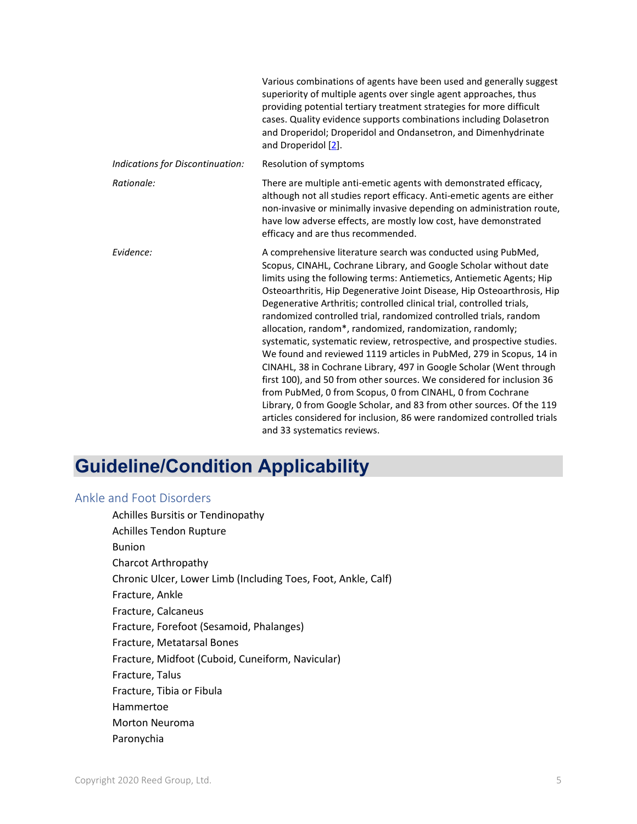|                                  | Various combinations of agents have been used and generally suggest<br>superiority of multiple agents over single agent approaches, thus<br>providing potential tertiary treatment strategies for more difficult<br>cases. Quality evidence supports combinations including Dolasetron<br>and Droperidol; Droperidol and Ondansetron, and Dimenhydrinate<br>and Droperidol [2].                                                                                                                                                                                                                                                                                                                                                                                                                                                                                                                                                                                                                                                                     |
|----------------------------------|-----------------------------------------------------------------------------------------------------------------------------------------------------------------------------------------------------------------------------------------------------------------------------------------------------------------------------------------------------------------------------------------------------------------------------------------------------------------------------------------------------------------------------------------------------------------------------------------------------------------------------------------------------------------------------------------------------------------------------------------------------------------------------------------------------------------------------------------------------------------------------------------------------------------------------------------------------------------------------------------------------------------------------------------------------|
| Indications for Discontinuation: | Resolution of symptoms                                                                                                                                                                                                                                                                                                                                                                                                                                                                                                                                                                                                                                                                                                                                                                                                                                                                                                                                                                                                                              |
| Rationale:                       | There are multiple anti-emetic agents with demonstrated efficacy,<br>although not all studies report efficacy. Anti-emetic agents are either<br>non-invasive or minimally invasive depending on administration route,<br>have low adverse effects, are mostly low cost, have demonstrated<br>efficacy and are thus recommended.                                                                                                                                                                                                                                                                                                                                                                                                                                                                                                                                                                                                                                                                                                                     |
| Evidence:                        | A comprehensive literature search was conducted using PubMed,<br>Scopus, CINAHL, Cochrane Library, and Google Scholar without date<br>limits using the following terms: Antiemetics, Antiemetic Agents; Hip<br>Osteoarthritis, Hip Degenerative Joint Disease, Hip Osteoarthrosis, Hip<br>Degenerative Arthritis; controlled clinical trial, controlled trials,<br>randomized controlled trial, randomized controlled trials, random<br>allocation, random*, randomized, randomization, randomly;<br>systematic, systematic review, retrospective, and prospective studies.<br>We found and reviewed 1119 articles in PubMed, 279 in Scopus, 14 in<br>CINAHL, 38 in Cochrane Library, 497 in Google Scholar (Went through<br>first 100), and 50 from other sources. We considered for inclusion 36<br>from PubMed, 0 from Scopus, 0 from CINAHL, 0 from Cochrane<br>Library, 0 from Google Scholar, and 83 from other sources. Of the 119<br>articles considered for inclusion, 86 were randomized controlled trials<br>and 33 systematics reviews. |

# **Guideline/Condition Applicability**

### Ankle and Foot Disorders

Achilles Bursitis or Tendinopathy Achilles Tendon Rupture Bunion Charcot Arthropathy Chronic Ulcer, Lower Limb (Including Toes, Foot, Ankle, Calf) Fracture, Ankle Fracture, Calcaneus Fracture, Forefoot (Sesamoid, Phalanges) Fracture, Metatarsal Bones Fracture, Midfoot (Cuboid, Cuneiform, Navicular) Fracture, Talus Fracture, Tibia or Fibula Hammertoe Morton Neuroma Paronychia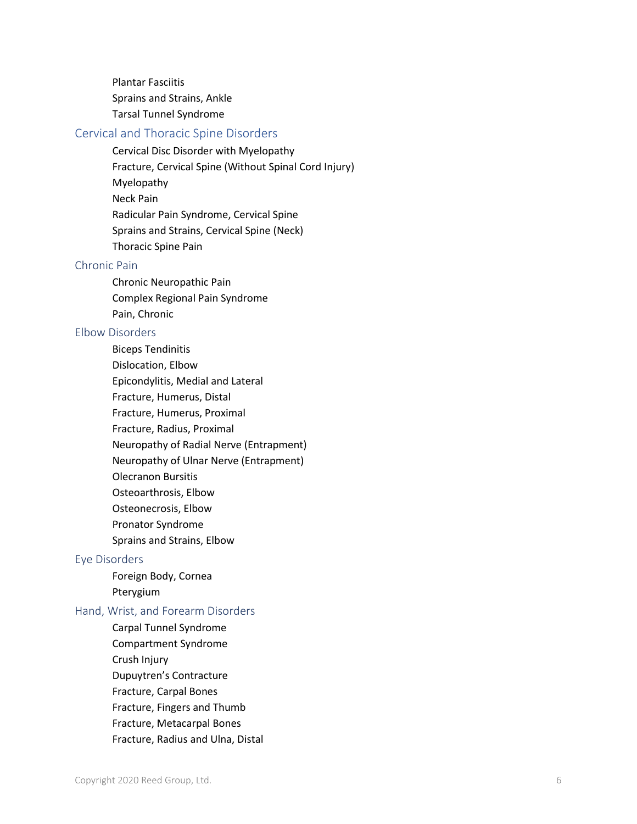Plantar Fasciitis Sprains and Strains, Ankle Tarsal Tunnel Syndrome

#### Cervical and Thoracic Spine Disorders

Cervical Disc Disorder with Myelopathy Fracture, Cervical Spine (Without Spinal Cord Injury) Myelopathy Neck Pain Radicular Pain Syndrome, Cervical Spine Sprains and Strains, Cervical Spine (Neck) Thoracic Spine Pain

#### Chronic Pain

Chronic Neuropathic Pain Complex Regional Pain Syndrome Pain, Chronic

#### Elbow Disorders

Biceps Tendinitis Dislocation, Elbow Epicondylitis, Medial and Lateral Fracture, Humerus, Distal Fracture, Humerus, Proximal Fracture, Radius, Proximal Neuropathy of Radial Nerve (Entrapment) Neuropathy of Ulnar Nerve (Entrapment) Olecranon Bursitis Osteoarthrosis, Elbow Osteonecrosis, Elbow Pronator Syndrome Sprains and Strains, Elbow

# Eye Disorders

Foreign Body, Cornea Pterygium

#### Hand, Wrist, and Forearm Disorders

Carpal Tunnel Syndrome Compartment Syndrome Crush Injury Dupuytren's Contracture Fracture, Carpal Bones Fracture, Fingers and Thumb Fracture, Metacarpal Bones Fracture, Radius and Ulna, Distal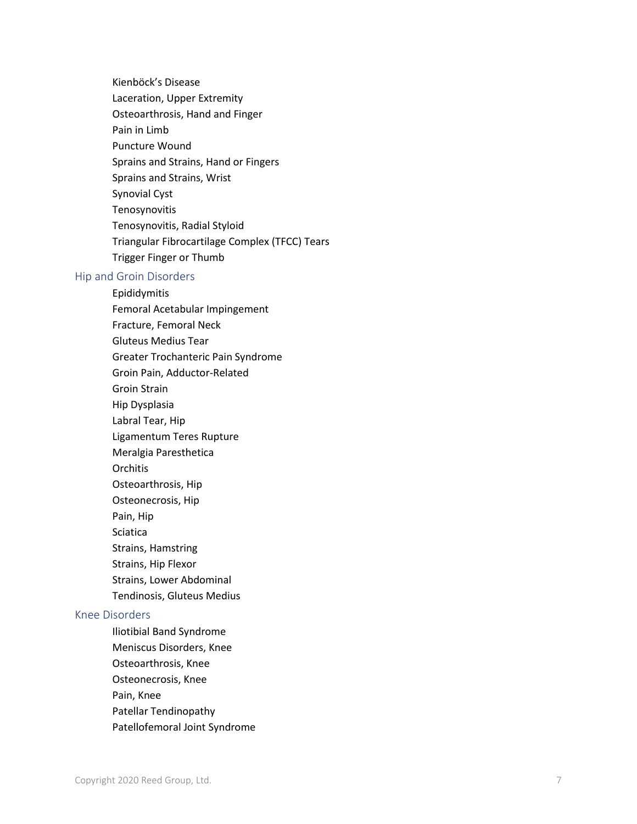Kienböck's Disease Laceration, Upper Extremity Osteoarthrosis, Hand and Finger Pain in Limb Puncture Wound Sprains and Strains, Hand or Fingers Sprains and Strains, Wrist Synovial Cyst Tenosynovitis Tenosynovitis, Radial Styloid Triangular Fibrocartilage Complex (TFCC) Tears Trigger Finger or Thumb

#### Hip and Groin Disorders

- Epididymitis Femoral Acetabular Impingement Fracture, Femoral Neck Gluteus Medius Tear Greater Trochanteric Pain Syndrome Groin Pain, Adductor -Related Groin Strai n Hip Dysplasia Labral Tear, Hip Ligamentum Teres Rupture Meralgia Paresthetica **Orchitis** Osteoarthrosis, Hip Osteonecrosis, Hip Pain, Hip Sciatica Strains, Hamstring Strains, Hip Flexor Strains, Lower Abdominal Tendinosis, Gluteus Medius Knee Disorders Iliotibial Band Syndrome Meniscus Disorders, Knee Osteoarthrosis, Knee
	- Osteonecrosis, Knee Pain, Knee
	- Patellar Tendinopathy
	- Patellofemoral Joint Syndrome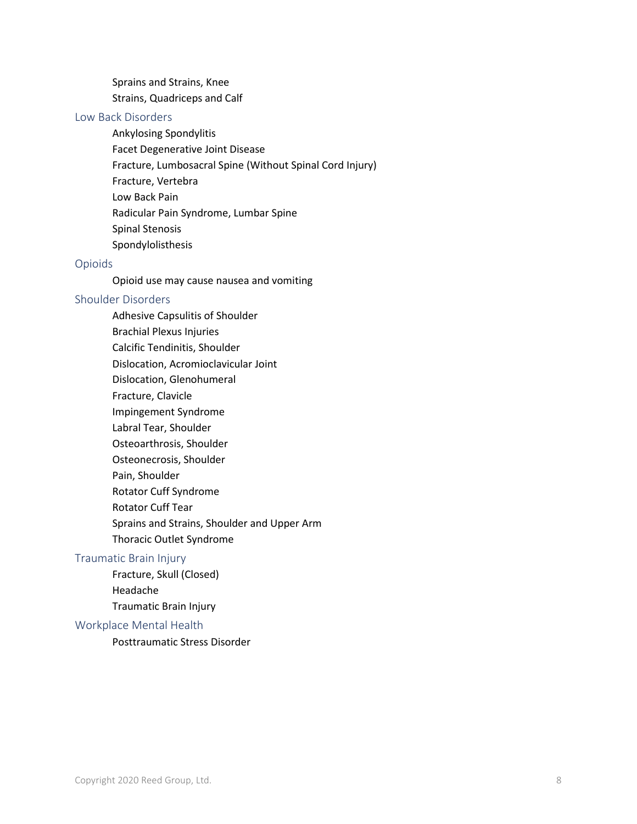Sprains and Strains, Knee Strains, Quadriceps and Calf

#### Low Back Disorders

Ankylosing Spondylitis

- Facet Degenerative Joint Disease
- Fracture, Lumbosacral Spine (Without Spinal Cord Injury)
- Fracture, Vertebra
- Low Back Pain
- Radicular Pain Syndrome, Lumbar Spine
- Spinal Stenosis
- Spondylolisthesis

#### Opioids

Opioid use may cause nausea and vomiting

#### Shoulder Disorders

Adhesive Capsulitis of Shoulder Brachial Plexus Injuries Calcific Tendinitis, Shoulder Dislocation, Acromioclavicular Joint Dislocation, Glenohumeral Fracture, Clavicle Impingement Syndrome Labral Tear, Shoulder Osteoarthrosis, Shoulder Osteonecrosis, Shoulder Pain, Shoulder Rotator Cuff Syndrome Rotator Cuff Tear Sprains and Strains, Shoulder and Upper Arm Thoracic Outlet Syndrome

#### Traumatic Brain Injury

Fracture, Skull (Closed) Headache Traumatic Brain Injury

#### Workplace Mental Health

Posttraumatic Stress Disorder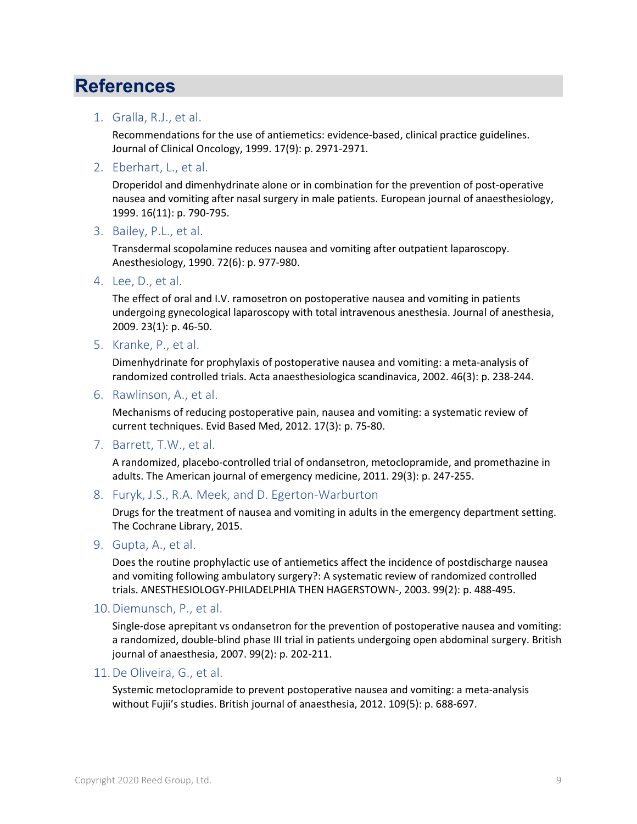# **References**

#### <span id="page-8-0"></span>1. Gralla, R.J., et al.

Recommendations for the use of antiemetics: evidence-based, clinical practice guidelines. Journal of Clinical Oncology, 1999. 17(9): p. 2971-2971.

<span id="page-8-5"></span>2. Eberhart, L., et al.

Droperidol and dimenhydrinate alone or in combination for the prevention of post-operative nausea and vomiting after nasal surgery in male patients. European journal of anaesthesiology, 1999. 16(11): p. 790-795.

3. Bailey, P.L., et al.

Transdermal scopolamine reduces nausea and vomiting after outpatient laparoscopy. Anesthesiology, 1990. 72(6): p. 977-980.

4. Lee, D., et al.

The effect of oral and I.V. ramosetron on postoperative nausea and vomiting in patients undergoing gynecological laparoscopy with total intravenous anesthesia. Journal of anesthesia, 2009. 23(1): p. 46-50.

<span id="page-8-4"></span>5. Kranke, P., et al.

Dimenhydrinate for prophylaxis of postoperative nausea and vomiting: a meta-analysis of randomized controlled trials. Acta anaesthesiologica scandinavica, 2002. 46(3): p. 238-244.

6. Rawlinson, A., et al.

Mechanisms of reducing postoperative pain, nausea and vomiting: a systematic review of current techniques. Evid Based Med, 2012. 17(3): p. 75-80.

<span id="page-8-1"></span>7. Barrett, T.W., et al.

A randomized, placebo-controlled trial of ondansetron, metoclopramide, and promethazine in adults. The American journal of emergency medicine, 2011. 29(3): p. 247-255.

<span id="page-8-7"></span>8. Furyk, J.S., R.A. Meek, and D. Egerton-Warburton

Drugs for the treatment of nausea and vomiting in adults in the emergency department setting. The Cochrane Library, 2015.

<span id="page-8-6"></span>9. Gupta, A., et al.

Does the routine prophylactic use of antiemetics affect the incidence of postdischarge nausea and vomiting following ambulatory surgery?: A systematic review of randomized controlled trials. ANESTHESIOLOGY-PHILADELPHIA THEN HAGERSTOWN-, 2003. 99(2): p. 488-495.

#### <span id="page-8-2"></span>10.Diemunsch, P., et al.

Single-dose aprepitant vs ondansetron for the prevention of postoperative nausea and vomiting: a randomized, double-blind phase III trial in patients undergoing open abdominal surgery. British journal of anaesthesia, 2007. 99(2): p. 202-211.

#### <span id="page-8-3"></span>11.De Oliveira, G., et al.

Systemic metoclopramide to prevent postoperative nausea and vomiting: a meta-analysis without Fujii's studies. British journal of anaesthesia, 2012. 109(5): p. 688-697.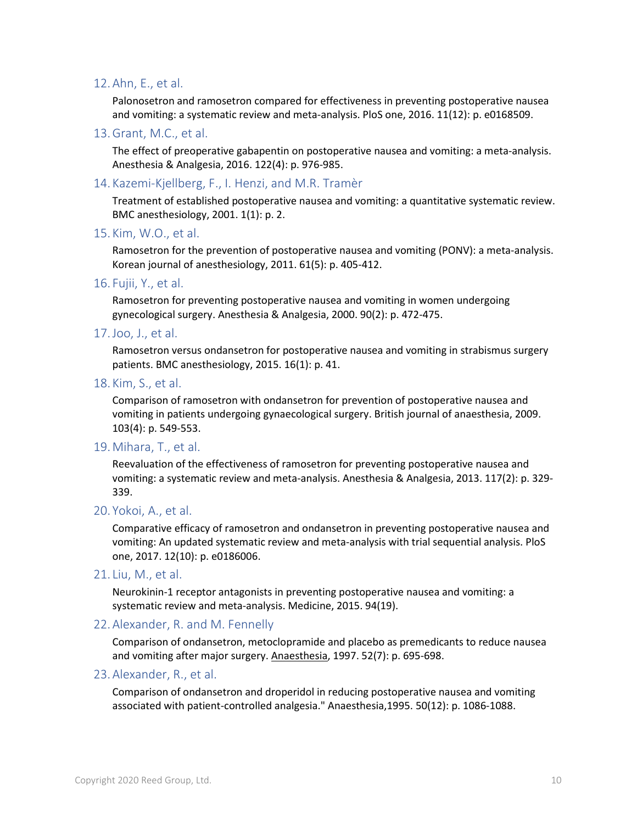#### <span id="page-9-0"></span>12.Ahn, E., et al.

Palonosetron and ramosetron compared for effectiveness in preventing postoperative nausea and vomiting: a systematic review and meta-analysis. PloS one, 2016. 11(12): p. e0168509.

<span id="page-9-1"></span>13.Grant, M.C., et al.

The effect of preoperative gabapentin on postoperative nausea and vomiting: a meta-analysis. Anesthesia & Analgesia, 2016. 122(4): p. 976-985.

<span id="page-9-3"></span>14. Kazemi-Kjellberg, F., I. Henzi, and M.R. Tramèr

Treatment of established postoperative nausea and vomiting: a quantitative systematic review. BMC anesthesiology, 2001. 1(1): p. 2.

15. Kim, W.O., et al.

Ramosetron for the prevention of postoperative nausea and vomiting (PONV): a meta-analysis. Korean journal of anesthesiology, 2011. 61(5): p. 405-412.

16. Fujii, Y., et al.

Ramosetron for preventing postoperative nausea and vomiting in women undergoing gynecological surgery. Anesthesia & Analgesia, 2000. 90(2): p. 472-475.

17.Joo, J., et al.

Ramosetron versus ondansetron for postoperative nausea and vomiting in strabismus surgery patients. BMC anesthesiology, 2015. 16(1): p. 41.

18. Kim, S., et al.

Comparison of ramosetron with ondansetron for prevention of postoperative nausea and vomiting in patients undergoing gynaecological surgery. British journal of anaesthesia, 2009. 103(4): p. 549-553.

#### 19.Mihara, T., et al.

Reevaluation of the effectiveness of ramosetron for preventing postoperative nausea and vomiting: a systematic review and meta-analysis. Anesthesia & Analgesia, 2013. 117(2): p. 329- 339.

20. Yokoi, A., et al.

Comparative efficacy of ramosetron and ondansetron in preventing postoperative nausea and vomiting: An updated systematic review and meta-analysis with trial sequential analysis. PloS one, 2017. 12(10): p. e0186006.

<span id="page-9-2"></span>21. Liu, M., et al.

Neurokinin-1 receptor antagonists in preventing postoperative nausea and vomiting: a systematic review and meta-analysis. Medicine, 2015. 94(19).

22.Alexander, R. and M. Fennelly

Comparison of ondansetron, metoclopramide and placebo as premedicants to reduce nausea and vomiting after major surgery. Anaesthesia, 1997. 52(7): p. 695-698.

#### 23.Alexander, R., et al.

Comparison of ondansetron and droperidol in reducing postoperative nausea and vomiting associated with patient-controlled analgesia." Anaesthesia,1995. 50(12): p. 1086-1088.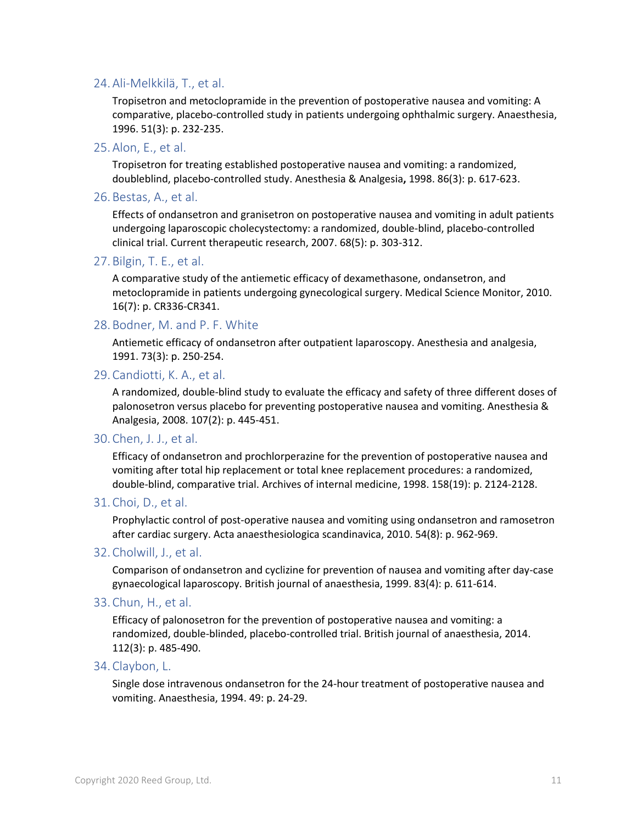#### 24.Ali-Melkkilä, T., et al.

Tropisetron and metoclopramide in the prevention of postoperative nausea and vomiting: A comparative, placebo-controlled study in patients undergoing ophthalmic surgery. Anaesthesia, 1996. 51(3): p. 232-235.

25.Alon, E., et al.

Tropisetron for treating established postoperative nausea and vomiting: a randomized, doubleblind, placebo-controlled study. Anesthesia & Analgesia**,** 1998. 86(3): p. 617-623.

26.Bestas, A., et al.

Effects of ondansetron and granisetron on postoperative nausea and vomiting in adult patients undergoing laparoscopic cholecystectomy: a randomized, double-blind, placebo-controlled clinical trial. Current therapeutic research, 2007. 68(5): p. 303-312.

27.Bilgin, T. E., et al.

A comparative study of the antiemetic efficacy of dexamethasone, ondansetron, and metoclopramide in patients undergoing gynecological surgery. Medical Science Monitor, 2010. 16(7): p. CR336-CR341.

28.Bodner, M. and P. F. White

Antiemetic efficacy of ondansetron after outpatient laparoscopy. Anesthesia and analgesia, 1991. 73(3): p. 250-254.

29.Candiotti, K. A., et al.

A randomized, double-blind study to evaluate the efficacy and safety of three different doses of palonosetron versus placebo for preventing postoperative nausea and vomiting. Anesthesia & Analgesia, 2008. 107(2): p. 445-451.

30.Chen, J. J., et al.

Efficacy of ondansetron and prochlorperazine for the prevention of postoperative nausea and vomiting after total hip replacement or total knee replacement procedures: a randomized, double-blind, comparative trial. Archives of internal medicine, 1998. 158(19): p. 2124-2128.

31.Choi, D., et al.

Prophylactic control of post-operative nausea and vomiting using ondansetron and ramosetron after cardiac surgery. Acta anaesthesiologica scandinavica, 2010. 54(8): p. 962-969.

32.Cholwill, J., et al.

Comparison of ondansetron and cyclizine for prevention of nausea and vomiting after day-case gynaecological laparoscopy. British journal of anaesthesia, 1999. 83(4): p. 611-614.

33.Chun, H., et al.

Efficacy of palonosetron for the prevention of postoperative nausea and vomiting: a randomized, double-blinded, placebo-controlled trial. British journal of anaesthesia, 2014. 112(3): p. 485-490.

34.Claybon, L.

Single dose intravenous ondansetron for the 24-hour treatment of postoperative nausea and vomiting. Anaesthesia, 1994. 49: p. 24-29.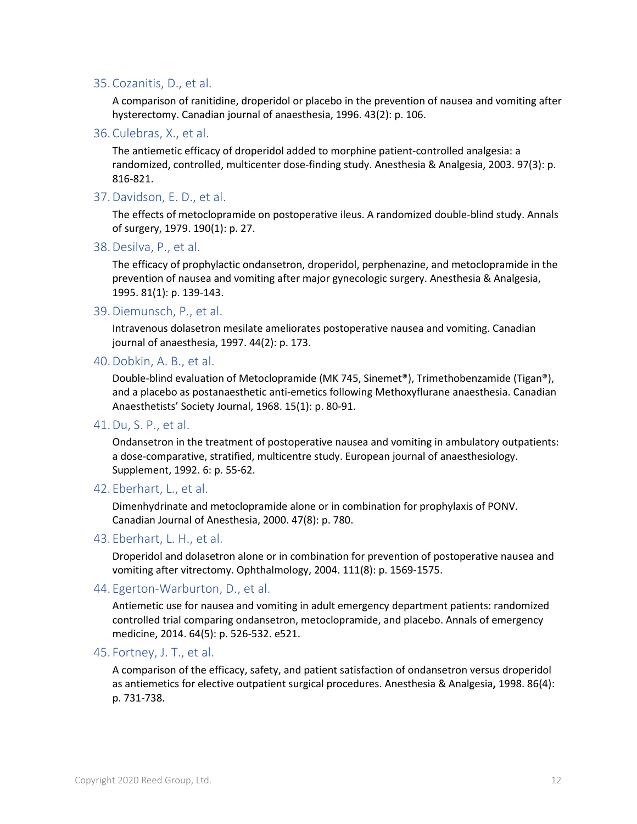#### 35.Cozanitis, D., et al.

A comparison of ranitidine, droperidol or placebo in the prevention of nausea and vomiting after hysterectomy. Canadian journal of anaesthesia, 1996. 43(2): p. 106.

36.Culebras, X., et al.

The antiemetic efficacy of droperidol added to morphine patient-controlled analgesia: a randomized, controlled, multicenter dose-finding study. Anesthesia & Analgesia, 2003. 97(3): p. 816-821.

37.Davidson, E. D., et al.

The effects of metoclopramide on postoperative ileus. A randomized double-blind study. Annals of surgery, 1979. 190(1): p. 27.

38.Desilva, P., et al.

The efficacy of prophylactic ondansetron, droperidol, perphenazine, and metoclopramide in the prevention of nausea and vomiting after major gynecologic surgery. Anesthesia & Analgesia, 1995. 81(1): p. 139-143.

39.Diemunsch, P., et al.

Intravenous dolasetron mesilate ameliorates postoperative nausea and vomiting. Canadian journal of anaesthesia, 1997. 44(2): p. 173.

40.Dobkin, A. B., et al.

Double-blind evaluation of Metoclopramide (MK 745, Sinemet®), Trimethobenzamide (Tigan®), and a placebo as postanaesthetic anti-emetics following Methoxyflurane anaesthesia. Canadian Anaesthetists' Society Journal, 1968. 15(1): p. 80-91.

41.Du, S. P., et al.

Ondansetron in the treatment of postoperative nausea and vomiting in ambulatory outpatients: a dose-comparative, stratified, multicentre study. European journal of anaesthesiology. Supplement, 1992. 6: p. 55-62.

42. Eberhart, L., et al.

Dimenhydrinate and metoclopramide alone or in combination for prophylaxis of PONV. Canadian Journal of Anesthesia, 2000. 47(8): p. 780.

#### 43. Eberhart, L. H., et al.

Droperidol and dolasetron alone or in combination for prevention of postoperative nausea and vomiting after vitrectomy. Ophthalmology, 2004. 111(8): p. 1569-1575.

#### 44. Egerton-Warburton, D., et al.

Antiemetic use for nausea and vomiting in adult emergency department patients: randomized controlled trial comparing ondansetron, metoclopramide, and placebo. Annals of emergency medicine, 2014. 64(5): p. 526-532. e521.

#### 45. Fortney, J. T., et al.

A comparison of the efficacy, safety, and patient satisfaction of ondansetron versus droperidol as antiemetics for elective outpatient surgical procedures. Anesthesia & Analgesia**,** 1998. 86(4): p. 731-738.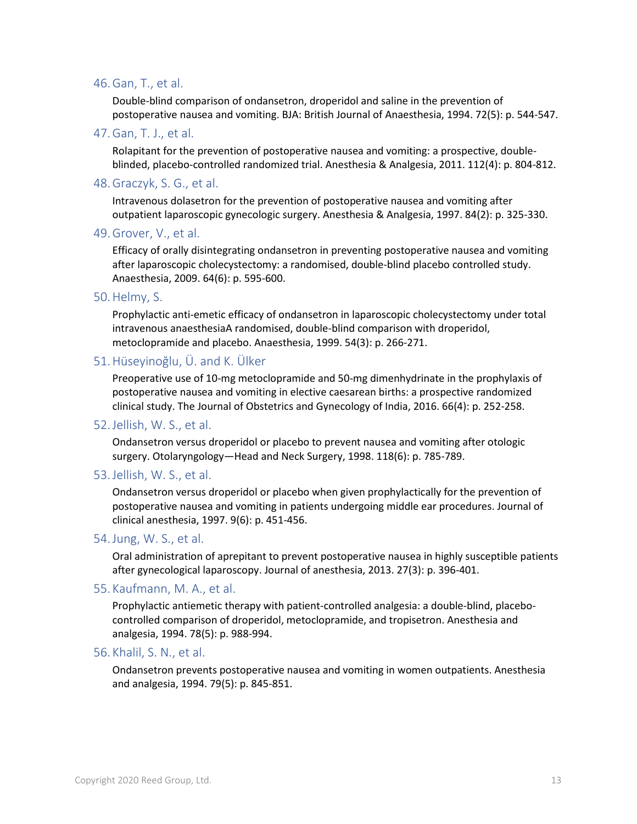#### 46.Gan, T., et al.

Double-blind comparison of ondansetron, droperidol and saline in the prevention of postoperative nausea and vomiting. BJA: British Journal of Anaesthesia, 1994. 72(5): p. 544-547.

47.Gan, T. J., et al.

Rolapitant for the prevention of postoperative nausea and vomiting: a prospective, doubleblinded, placebo-controlled randomized trial. Anesthesia & Analgesia, 2011. 112(4): p. 804-812.

48.Graczyk, S. G., et al.

Intravenous dolasetron for the prevention of postoperative nausea and vomiting after outpatient laparoscopic gynecologic surgery. Anesthesia & Analgesia, 1997. 84(2): p. 325-330.

49.Grover, V., et al.

Efficacy of orally disintegrating ondansetron in preventing postoperative nausea and vomiting after laparoscopic cholecystectomy: a randomised, double-blind placebo controlled study. Anaesthesia, 2009. 64(6): p. 595-600.

50.Helmy, S.

Prophylactic anti-emetic efficacy of ondansetron in laparoscopic cholecystectomy under total intravenous anaesthesiaA randomised, double-blind comparison with droperidol, metoclopramide and placebo. Anaesthesia, 1999. 54(3): p. 266-271.

### 51.Hüseyinoğlu, Ü. and K. Ülker

Preoperative use of 10-mg metoclopramide and 50-mg dimenhydrinate in the prophylaxis of postoperative nausea and vomiting in elective caesarean births: a prospective randomized clinical study. The Journal of Obstetrics and Gynecology of India, 2016. 66(4): p. 252-258.

#### 52.Jellish, W. S., et al.

Ondansetron versus droperidol or placebo to prevent nausea and vomiting after otologic surgery. Otolaryngology—Head and Neck Surgery, 1998. 118(6): p. 785-789.

#### 53.Jellish, W. S., et al.

Ondansetron versus droperidol or placebo when given prophylactically for the prevention of postoperative nausea and vomiting in patients undergoing middle ear procedures. Journal of clinical anesthesia, 1997. 9(6): p. 451-456.

#### 54.Jung, W. S., et al.

Oral administration of aprepitant to prevent postoperative nausea in highly susceptible patients after gynecological laparoscopy. Journal of anesthesia, 2013. 27(3): p. 396-401.

#### 55. Kaufmann, M. A., et al.

Prophylactic antiemetic therapy with patient-controlled analgesia: a double-blind, placebocontrolled comparison of droperidol, metoclopramide, and tropisetron. Anesthesia and analgesia, 1994. 78(5): p. 988-994.

#### 56. Khalil, S. N., et al.

Ondansetron prevents postoperative nausea and vomiting in women outpatients. Anesthesia and analgesia, 1994. 79(5): p. 845-851.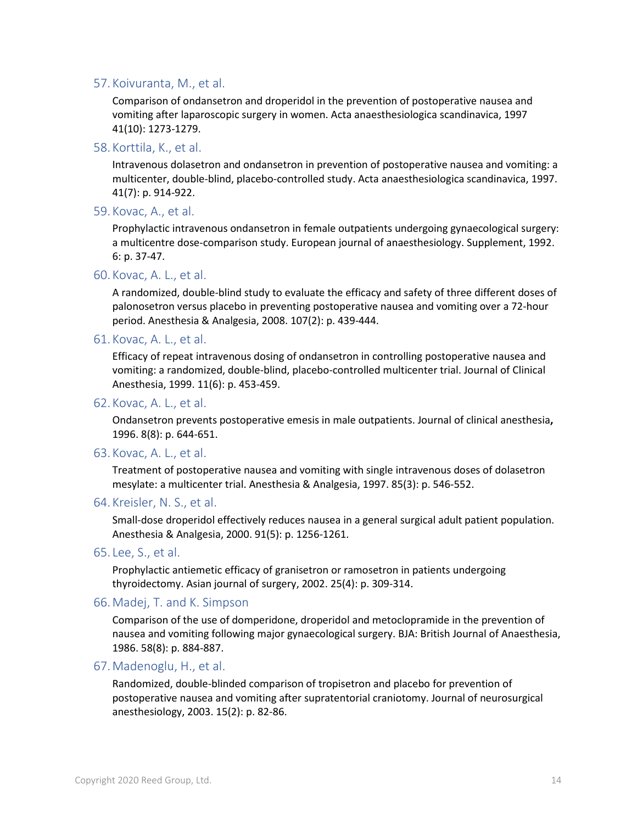#### 57. Koivuranta, M., et al.

Comparison of ondansetron and droperidol in the prevention of postoperative nausea and vomiting after laparoscopic surgery in women. Acta anaesthesiologica scandinavica, 1997 41(10): 1273-1279.

#### 58. Korttila, K., et al.

Intravenous dolasetron and ondansetron in prevention of postoperative nausea and vomiting: a multicenter, double-blind, placebo-controlled study. Acta anaesthesiologica scandinavica, 1997. 41(7): p. 914-922.

#### 59. Kovac, A., et al.

Prophylactic intravenous ondansetron in female outpatients undergoing gynaecological surgery: a multicentre dose-comparison study. European journal of anaesthesiology. Supplement, 1992. 6: p. 37-47.

#### 60. Kovac, A. L., et al.

A randomized, double-blind study to evaluate the efficacy and safety of three different doses of palonosetron versus placebo in preventing postoperative nausea and vomiting over a 72-hour period. Anesthesia & Analgesia, 2008. 107(2): p. 439-444.

#### 61. Kovac, A. L., et al.

Efficacy of repeat intravenous dosing of ondansetron in controlling postoperative nausea and vomiting: a randomized, double-blind, placebo-controlled multicenter trial. Journal of Clinical Anesthesia, 1999. 11(6): p. 453-459.

#### 62. Kovac, A. L., et al.

Ondansetron prevents postoperative emesis in male outpatients. Journal of clinical anesthesia**,**  1996. 8(8): p. 644-651.

#### 63. Kovac, A. L., et al.

Treatment of postoperative nausea and vomiting with single intravenous doses of dolasetron mesylate: a multicenter trial. Anesthesia & Analgesia, 1997. 85(3): p. 546-552.

#### 64. Kreisler, N. S., et al.

Small-dose droperidol effectively reduces nausea in a general surgical adult patient population. Anesthesia & Analgesia, 2000. 91(5): p. 1256-1261.

#### 65. Lee, S., et al.

Prophylactic antiemetic efficacy of granisetron or ramosetron in patients undergoing thyroidectomy. Asian journal of surgery, 2002. 25(4): p. 309-314.

#### 66.Madej, T. and K. Simpson

Comparison of the use of domperidone, droperidol and metoclopramide in the prevention of nausea and vomiting following major gynaecological surgery. BJA: British Journal of Anaesthesia, 1986. 58(8): p. 884-887.

#### 67.Madenoglu, H., et al.

Randomized, double-blinded comparison of tropisetron and placebo for prevention of postoperative nausea and vomiting after supratentorial craniotomy. Journal of neurosurgical anesthesiology, 2003. 15(2): p. 82-86.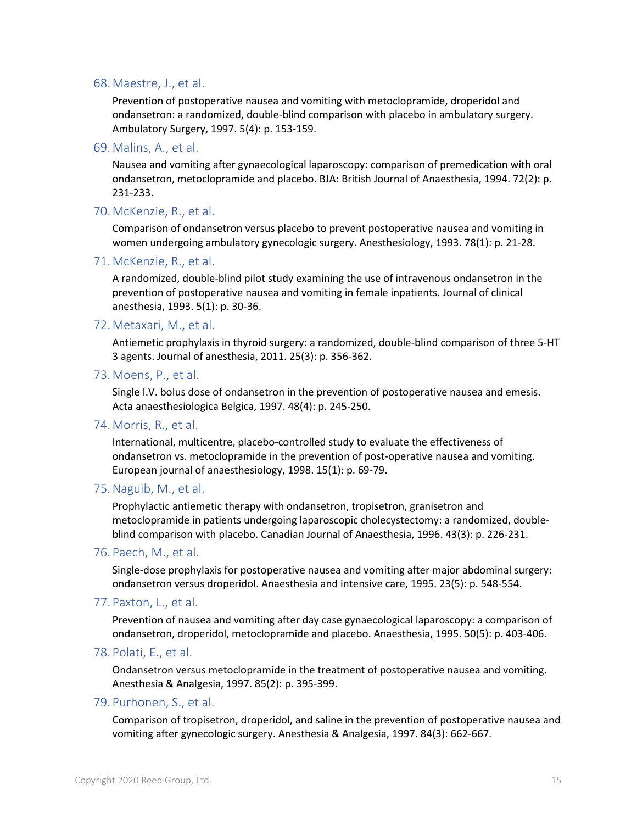#### 68.Maestre, J., et al.

Prevention of postoperative nausea and vomiting with metoclopramide, droperidol and ondansetron: a randomized, double-blind comparison with placebo in ambulatory surgery. Ambulatory Surgery, 1997. 5(4): p. 153-159.

69.Malins, A., et al.

Nausea and vomiting after gynaecological laparoscopy: comparison of premedication with oral ondansetron, metoclopramide and placebo. BJA: British Journal of Anaesthesia, 1994. 72(2): p. 231-233.

#### 70.McKenzie, R., et al.

Comparison of ondansetron versus placebo to prevent postoperative nausea and vomiting in women undergoing ambulatory gynecologic surgery. Anesthesiology, 1993. 78(1): p. 21-28.

#### 71.McKenzie, R., et al.

A randomized, double-blind pilot study examining the use of intravenous ondansetron in the prevention of postoperative nausea and vomiting in female inpatients. Journal of clinical anesthesia, 1993. 5(1): p. 30-36.

#### 72.Metaxari, M., et al.

Antiemetic prophylaxis in thyroid surgery: a randomized, double-blind comparison of three 5-HT 3 agents. Journal of anesthesia, 2011. 25(3): p. 356-362.

73.Moens, P., et al.

Single I.V. bolus dose of ondansetron in the prevention of postoperative nausea and emesis. Acta anaesthesiologica Belgica, 1997. 48(4): p. 245-250.

#### 74.Morris, R., et al.

International, multicentre, placebo-controlled study to evaluate the effectiveness of ondansetron vs. metoclopramide in the prevention of post-operative nausea and vomiting. European journal of anaesthesiology, 1998. 15(1): p. 69-79.

#### 75.Naguib, M., et al.

Prophylactic antiemetic therapy with ondansetron, tropisetron, granisetron and metoclopramide in patients undergoing laparoscopic cholecystectomy: a randomized, doubleblind comparison with placebo. Canadian Journal of Anaesthesia, 1996. 43(3): p. 226-231.

#### 76.Paech, M., et al.

Single-dose prophylaxis for postoperative nausea and vomiting after major abdominal surgery: ondansetron versus droperidol. Anaesthesia and intensive care, 1995. 23(5): p. 548-554.

#### 77.Paxton, L., et al.

Prevention of nausea and vomiting after day case gynaecological laparoscopy: a comparison of ondansetron, droperidol, metoclopramide and placebo. Anaesthesia, 1995. 50(5): p. 403-406.

#### 78.Polati, E., et al.

Ondansetron versus metoclopramide in the treatment of postoperative nausea and vomiting. Anesthesia & Analgesia, 1997. 85(2): p. 395-399.

#### 79.Purhonen, S., et al.

Comparison of tropisetron, droperidol, and saline in the prevention of postoperative nausea and vomiting after gynecologic surgery. Anesthesia & Analgesia, 1997. 84(3): 662-667.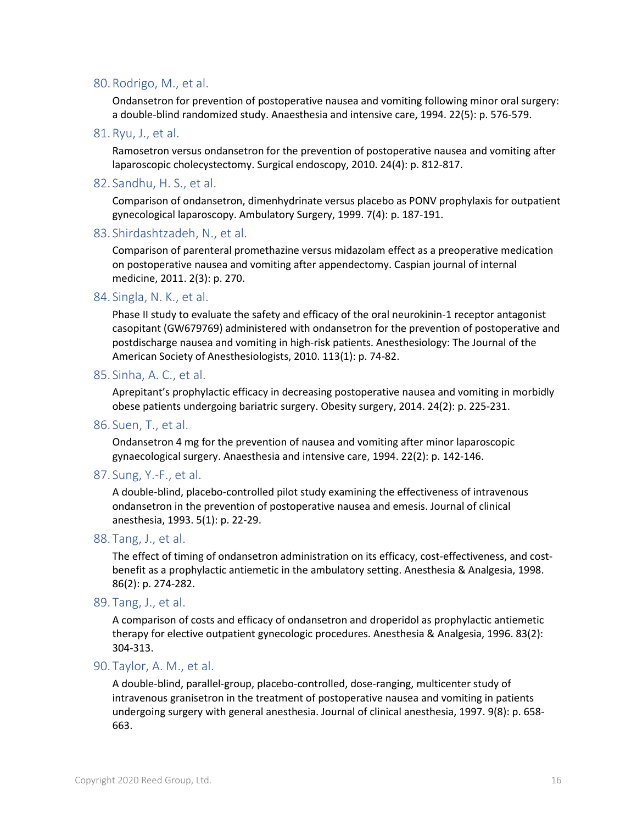#### 80.Rodrigo, M., et al.

Ondansetron for prevention of postoperative nausea and vomiting following minor oral surgery: a double-blind randomized study. Anaesthesia and intensive care, 1994. 22(5): p. 576-579.

81.Ryu, J., et al.

Ramosetron versus ondansetron for the prevention of postoperative nausea and vomiting after laparoscopic cholecystectomy. Surgical endoscopy, 2010. 24(4): p. 812-817.

82. Sandhu, H. S., et al.

Comparison of ondansetron, dimenhydrinate versus placebo as PONV prophylaxis for outpatient gynecological laparoscopy. Ambulatory Surgery, 1999. 7(4): p. 187-191.

83. Shirdashtzadeh, N., et al.

Comparison of parenteral promethazine versus midazolam effect as a preoperative medication on postoperative nausea and vomiting after appendectomy. Caspian journal of internal medicine, 2011. 2(3): p. 270.

84. Singla, N. K., et al.

Phase II study to evaluate the safety and efficacy of the oral neurokinin-1 receptor antagonist casopitant (GW679769) administered with ondansetron for the prevention of postoperative and postdischarge nausea and vomiting in high-risk patients. Anesthesiology: The Journal of the American Society of Anesthesiologists, 2010. 113(1): p. 74-82.

85. Sinha, A. C., et al.

Aprepitant's prophylactic efficacy in decreasing postoperative nausea and vomiting in morbidly obese patients undergoing bariatric surgery. Obesity surgery, 2014. 24(2): p. 225-231.

86. Suen, T., et al.

Ondansetron 4 mg for the prevention of nausea and vomiting after minor laparoscopic gynaecological surgery. Anaesthesia and intensive care, 1994. 22(2): p. 142-146.

87. Sung, Y.-F., et al.

A double-blind, placebo-controlled pilot study examining the effectiveness of intravenous ondansetron in the prevention of postoperative nausea and emesis. Journal of clinical anesthesia, 1993. 5(1): p. 22-29.

88. Tang, J., et al.

The effect of timing of ondansetron administration on its efficacy, cost-effectiveness, and costbenefit as a prophylactic antiemetic in the ambulatory setting. Anesthesia & Analgesia, 1998. 86(2): p. 274-282.

89. Tang, J., et al.

A comparison of costs and efficacy of ondansetron and droperidol as prophylactic antiemetic therapy for elective outpatient gynecologic procedures. Anesthesia & Analgesia, 1996. 83(2): 304-313.

90. Taylor, A. M., et al.

A double-blind, parallel-group, placebo-controlled, dose-ranging, multicenter study of intravenous granisetron in the treatment of postoperative nausea and vomiting in patients undergoing surgery with general anesthesia. Journal of clinical anesthesia, 1997. 9(8): p. 658- 663.